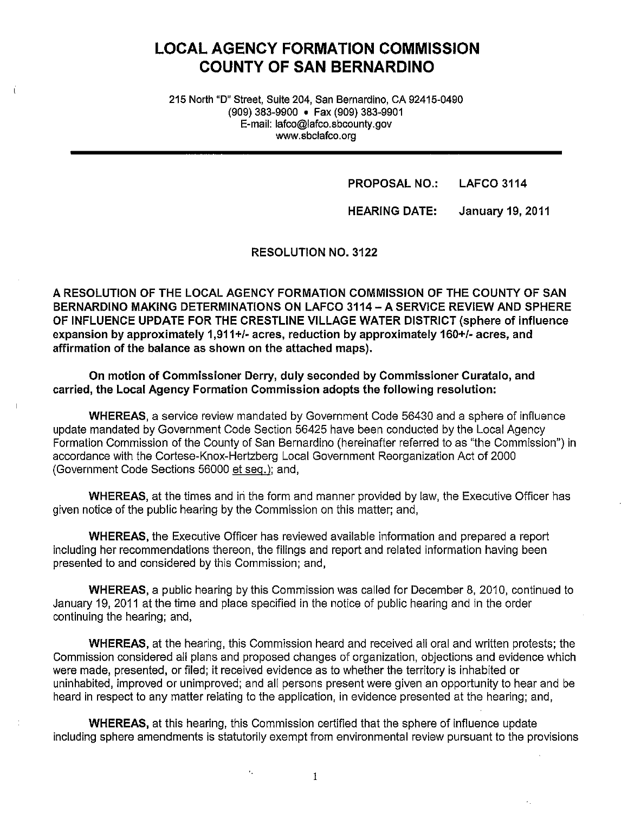# **LOCAL AGENCY FORMATION COMMISSION COUNTY OF SAN BERNARDINO**

215 North "D" Street, Suite 204, San Bernardino, CA 92415-0490 (909) 383-9900 • Fax (909) 383-9901 E-mail: lafco@lafco.sbcounty.gov www.sbclafco.org

**PROPOSAL NO.: LAFCO 3114** 

**HEARING DATE: January 19, 2011** 

**RESOLUTION NO. 3122** 

**A RESOLUTION OF THE LOCAL AGENCY FORMATION COMMISSION OF THE COUNTY OF SAN BERNARDINO MAKING DETERMINATIONS ON LAFCO 3114 - A SERVICE REVIEW AND SPHERE OF INFLUENCE UPDATE FOR THE CRESTLINE VILLAGE WATER DISTRICT (sphere of influence expansion by approximately 1,911** +/- **acres, reduction by approximately 160+/- acres, and affirmation of the balance as shown on the attached maps).** 

**On motion of Commissioner Derry, duly seconded by Commissioner Curatalo, and carried, the Local Agency Formation Commission adopts the following resolution:** 

**WHEREAS,** a service review mandated by Government Code 56430 and a sphere of influence update mandated by Government Code Section 56425 have been conducted by the Local Agency Formation Commission of the County of San Bernardino (hereinafter referred to as "the Commission") in accordance with the Cortese-Knox-Hertzberg Local Government Reorganization Act of 2000 (Government Code Sections 56000 et seq.): and,

**WHEREAS, at the times and in the form and manner provided by law, the Executive Officer has** given notice of the public hearing by the Commission on this matter; and,

**WHEREAS,** the Executive Officer has reviewed available information and prepared a report including her recommendations thereon, the filings and report and related information having been presented to and considered by this Commission; and,

**WHEREAS,** a public hearing by this Commission was called for December 8, 2010, continued to January 19, 2011 at the time and place specified in the notice of public hearing and in the order continuing the hearing; and,

**WHEREAS,** at the hearing, this Commission heard and received all oral and written protests; the Commission considered all plans and proposed changes of organization, objections and evidence which were made, presented, or filed; it received evidence as to whether the territory is inhabited or uninhabited, improved or unimproved; and all persons present were given an opportunity to hear and be heard in respect to any matter relating to the application, in evidence presented at the hearing; and,

**WHEREAS,** at this hearing, this Commission certified that the sphere of influence update including sphere amendments is statutorily exempt from environmental review pursuant to the provisions

I

×.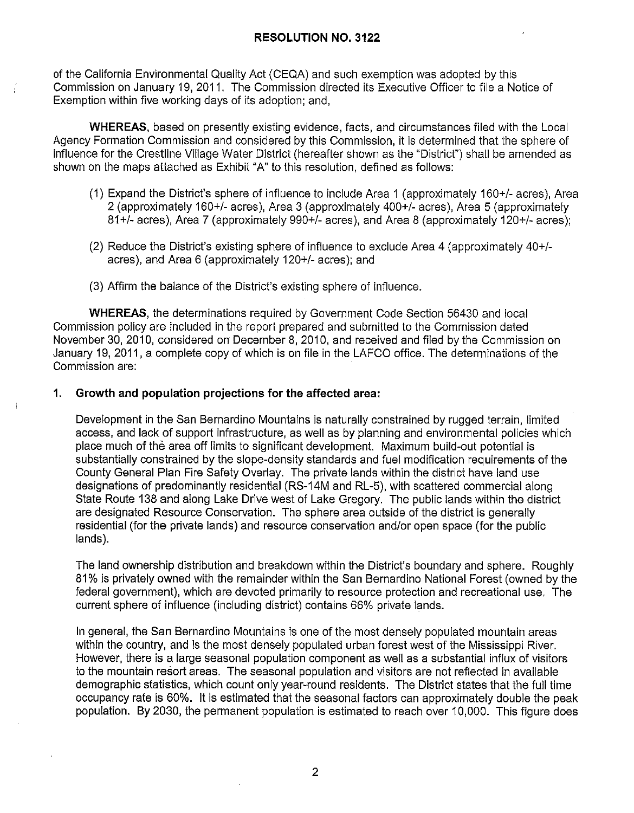of the California Environmental Quality Act (CEQA) and such exemption was adopted by this Commission on January 19, 2011. The Commission directed its Executive Officer to file a Notice of Exemption within five working days of its adoption; and,

**WHEREAS,** based on presently existing evidence, facts, and circumstances filed with the Local Agency Formation Commission and considered by this Commission, it is determined that the sphere of influence for the Crestline Village Water District (hereafter shown as the "District") shall be amended as shown on the maps attached as Exhibit "A" to this resolution, defined as follows:

- (1) Expand the District's sphere of influence to include Area 1 (approximately 160+/- acres), Area 2 (approximately 160+/- acres), Area 3 (approximately 400+/- acres), Area 5 (approximately 81+/- acres), Area 7 (approximately 990+/- acres), and Area 8 (approximately 120+/- acres);
- (2) Reduce the District's existing sphere of influence to exclude Area 4 (approximately 40+/ acres), and Area 6 (approximately 120+/- acres); and
- (3) Affirm the balance of the District's existing sphere of influence.

**WHEREAS,** the determinations required by Government Code Section 56430 and local Commission policy are included in the report prepared and submitted to the Commission dated November 30, 2010, considered on December 8, 2010, and received and filed by the Commission on January 19, 2011, a complete copy of which is on file in the LAFCO office. The determinations of the Commission are:

#### **1. Growth and population projections for the affected area:**

Development in the San Bernardino Mountains is naturally constrained by rugged terrain, limited access, and lack of support infrastructure, as well as by planning and environmental policies which place much of the area off limits to significant development. Maximum build-out potential is substantially constrained by the slope-density standards and fuel modification requirements of the County General Plan Fire Safety Overlay. The private lands within the district have land use designations of predominantly residential (RS-14M and RL-5), with scattered commercial along State Route 138 and along Lake Drive west of Lake Gregory. The public lands within the district are designated Resource Conservation. The sphere area outside of the district is generally residential (for the private lands) and resource conservation and/or open space (for the public lands).

The land ownership distribution and breakdown within the District's boundary and sphere. Roughly 81 % is privately owned with the remainder within the San Bernardino National Forest ( owned by the federal government), which are devoted primarily to resource protection and recreational use. The current sphere of influence (including district) contains 66% private lands.

In general, the San Bernardino Mountains is one of the most densely populated mountain areas within the country, and is the most densely populated urban forest west of the Mississippi River. However, there is a large seasonal population component as well as a substantial influx of visitors to the mountain resort areas. The seasonal population and visitors are not reflected in available demographic statistics, which count only year-round residents. The District states that the full time occupancy rate is 60%. It is estimated that the seasonal factors can approximately double the peak population. By 2030, the permanent population is estimated to reach over 10,000. This figure does

2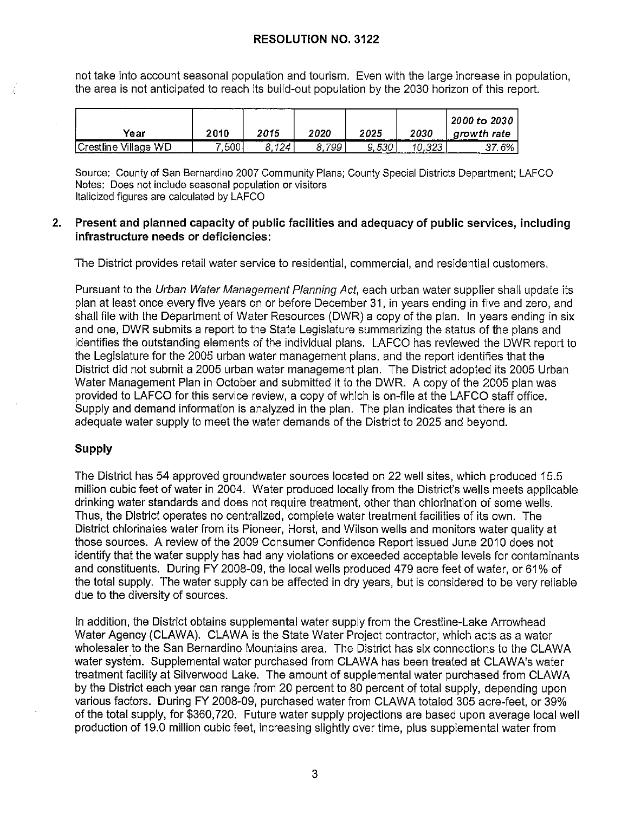not take into account seasonal population and tourism. Even with the large increase in population, the area is not anticipated to reach its build-out population by the 2030 horizon of this report.

| Year                 | 2010  | 2015  | 2020 | 2025  | 2030 | 2000 to 2030<br>arowth rate |
|----------------------|-------|-------|------|-------|------|-----------------------------|
| Crestline Village WD | ",500 | 8.124 | 799  | 9,530 |      | 37.6%                       |

Source: County of San Bernardino 2007 Community Plans; County Special Districts Department; LAFCO Notes: Does not include seasonal population or visitors Italicized figures are calculated by LAFCO

### **2. Present and planned capacity of public facilities and adequacy of public services, including infrastructure needs or deficiencies:**

The District provides retail water service to residential, commercial, and residential customers.

Pursuant to the Urban Water Management Planning Act, each urban water supplier shall update its plan at least once every five years on or before December 31, in years ending in five and zero, and shall file with the Department of Water Resources (DWR) a copy of the plan. In years ending in six and one, DWR submits a report to the State Legislature summarizing the status of the plans and identifies the outstanding elements of the individual plans. LAFCO has reviewed the DWR report to the Legislature for the 2005 urban water management plans, and the report identifies that the District did not submit a 2005 urban water management plan. The District adopted its 2005 Urban Water Management Plan in October and submitted it to the DWR. A copy of the 2005 plan was provided to LAFCO for this service review, a copy of which is on-file at the LAFCO staff office. Supply and demand information is analyzed in the plan. The plan indicates that there is an adequate water supply to meet the water demands of the District to 2025 and beyond.

## **Supply**

The District has 54 approved groundwater sources located on 22 well sites, which produced 15.5 million cubic feet of water in 2004. Water produced locally from the District's wells meets applicable drinking water standards and does not require treatment, other than chlorination of some wells. Thus, the District operates no centralized, complete water treatment facilities of its own. The District chlorinates water from its Pioneer, Horst, and Wilson wells and monitors water quality at those sources. A review of the 2009 Consumer Confidence Report issued June 2010 does not identify that the water supply has had any violations or exceeded acceptable levels for contaminants and constituents. During FY 2008-09, the local wells produced 479 acre feet of water, or 61% of the total supply. The water supply can be affected in dry years, but is considered to be very reliable due to the diversity of sources.

In addition, the District obtains supplemental water supply from the Crestline-Lake Arrowhead Water Agency (CLAWA). CLAWA is the State Water Project contractor, which acts as a water wholesaler to the San Bernardino Mountains area. The District has six connections to the CLAW A water system. Supplemental water purchased from CLAWA has been treated at CLAWA's water treatment facility at Silverwood Lake. The amount of supplemental water purchased from CLAWA by the District each year can range from 20 percent to 80 percent of total supply, depending upon various factors. During FY 2008-09, purchased water from CLAWA totaled 305 acre-feet, or 39% of the total supply, for \$360,720. Future water supply projections are based upon average local well production of 19.0 million cubic feet, increasing slightly over time, plus supplemental water from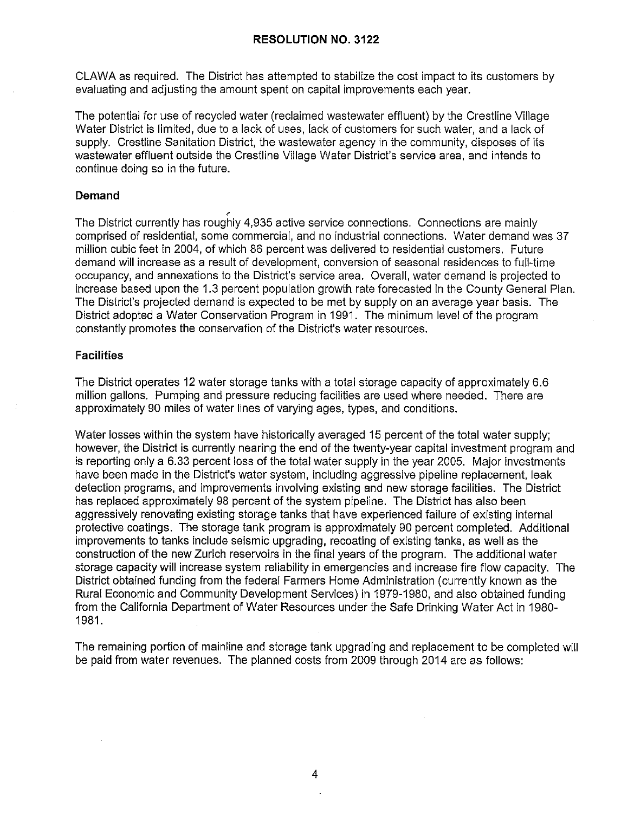CLAWA as required. The District has attempted to stabilize the cost impact to its customers by evaluating and adjusting the amount spent on capital improvements each year.

The potential for use of recycled water (reclaimed wastewater effluent) by the Crestline Village Water District is limited, due to a lack of uses, lack of customers for such water, and a lack of supply. Crestline Sanitation District, the wastewater agency in the community, disposes of its wastewater effluent outside the Crestline Village Water District's service area, and intends to continue doing so in the future.

#### **Demand**

, The District currently has roughly 4,935 active service connections. Connections are mainly comprised of residential, some commercial, and no industrial connections. Water demand was 37 million cubic feet in 2004, of which 86 percent was delivered to residential customers. Future demand will increase as a result of development, conversion of seasonal residences to full-time occupancy, and annexations to the District's service area. Overall, water demand is projected to increase based upon the 1.3 percent population growth rate forecasted in the County General Plan. The District's projected demand is expected to be met by supply on an average year basis. The District adopted a Water Conservation Program in 1991. The minimum level of the program constantly promotes the conservation of the District's water resources.

#### **Facilities**

The District operates 12 water storage tanks with a total storage capacity of approximately 6.6 million gallons. Pumping and pressure reducing facilities are used where needed. There are approximately 90 miles of water lines of varying ages, types, and conditions.

Water losses within the system have historically averaged 15 percent of the total water supply; however, the District is currently nearing the end of the twenty-year capital investment program and is reporting only a 6.33 percent loss of the total water supply in the year 2005. Major investments have been made in the District's water system, including aggressive pipeline replacement, leak detection programs, and improvements involving existing and new storage facilities. The District has replaced approximately 98 percent of the system pipeline. The District has also been aggressively renovating existing storage tanks that have experienced failure of existing internal protective coatings. The storage tank program is approximately 90 percent completed. Additional improvements to tanks include seismic upgrading, recoating of existing tanks, as well as the construction of the new Zurich reservoirs in the final years of the program. The additional water storage capacity will increase system reliability in emergencies and increase fire flow capacity. The District obtained funding from the federal Farmers Home Administration ( currently known as the Rural Economic and Community Development Services) in 1979-1980, and also obtained funding from the California Department of Water Resources under the Safe Drinking Water Act in 1980- 1981.

The remaining portion of mainline and storage tank upgrading and replacement to be completed will be paid from water revenues. The planned costs from 2009 through 2014 are as follows: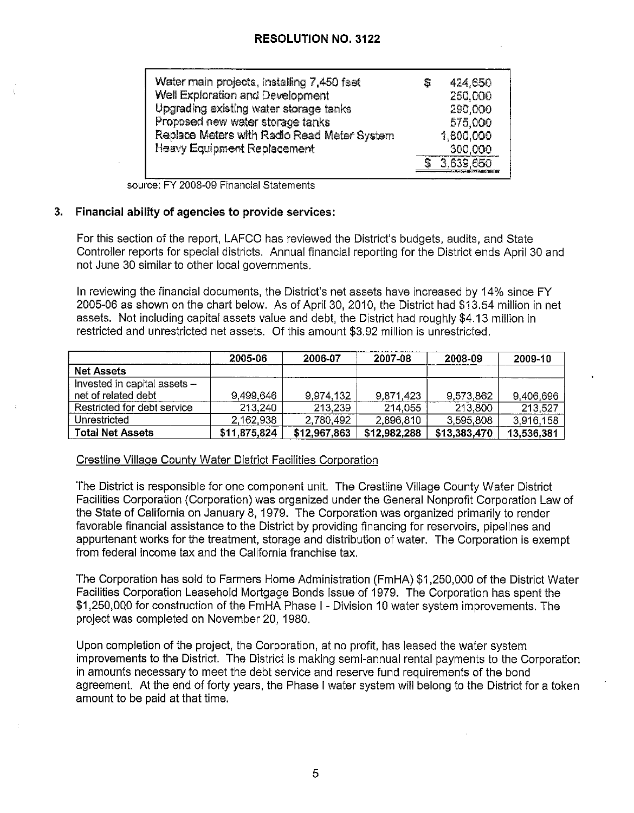| Water main projects, installing 7,450 feet  | S | 424,650   |
|---------------------------------------------|---|-----------|
| Well Exploration and Development            |   | 250,000   |
| Upgrading existing water storage tanks      |   | 290,000   |
| Proposed new water storage tanks            |   | 575,000   |
| Replace Meters with Radio Read Meter System |   | 1,800,000 |
| <b>Heavy Equipment Replacement</b>          |   | 300,000   |
|                                             |   | 3,639,650 |

source: FY 2008-09 Financial Statements

#### **3. Financial ability of agencies to provide services:**

For this section of the report, LAFCO has reviewed the District's budgets, audits, and State Controller reports for special districts. Annual financial reporting for the District ends April 30 and not June 30 similar to other local governments.

In reviewing the financial documents, the District's net assets have increased by 14% since FY 2005-06 as shown on the chart below. As of April 30, 2010, the District had \$13.54 million in net assets. Not including capital assets value and debt, the District had roughly \$4.13 million in restricted and unrestricted net assets. Of this amount \$3.92 million is unrestricted.

|                              | 2005-06      | 2006-07      | 2007-08      | 2008-09      | 2009-10    |
|------------------------------|--------------|--------------|--------------|--------------|------------|
| <b>Net Assets</b>            |              |              |              |              |            |
| Invested in capital assets - |              |              |              |              |            |
| net of related debt          | 9,499,646    | 9.974,132    | 9,871,423    | 9.573.862    | 9,406,696  |
| Restricted for debt service  | 213,240      | 213,239      | 214.055      | 213,800      | 213.527    |
| Unrestricted                 | 2,162,938    | 2,780,492    | 2,896,810    | 3,595,808    | 3,916,158  |
| <b>Total Net Assets</b>      | \$11,875,824 | \$12,967,863 | \$12,982,288 | \$13,383,470 | 13,536.381 |

#### Crestline Village County Water District Facilities Corporation

The District is responsible for one component unit. The Crestline Village County Water District Facilities Corporation (Corporation) was organized under the General Nonprofit Corporation Law of the State of California on January 8, 1979. The Corporation was organized primarily to render favorable financial assistance to the District by providing financing for reservoirs, pipelines and appurtenant works for the treatment, storage and distribution of water. The Corporation is exempt from federal income tax and the California franchise tax.

The Corporation has sold to Farmers Home Administration (FmHA) \$1,250,000 of the District Water Facilities Corporation Leasehold Mortgage Bonds Issue of 1979. The Corporation has spent the \$1,250,000 for construction of the FmHA Phase I - Division 10 water system improvements. The project was completed on November 20, 1980.

Upon completion of the project, the Corporation, at no profit, has leased the water system improvements to the District. The District is making semi-annual rental payments to the Corporation in amounts necessary to meet the debt service and reserve fund requirements of the bond agreement. At the end of forty years, the Phase I water system will belong to the District for a token amount to be paid at that time.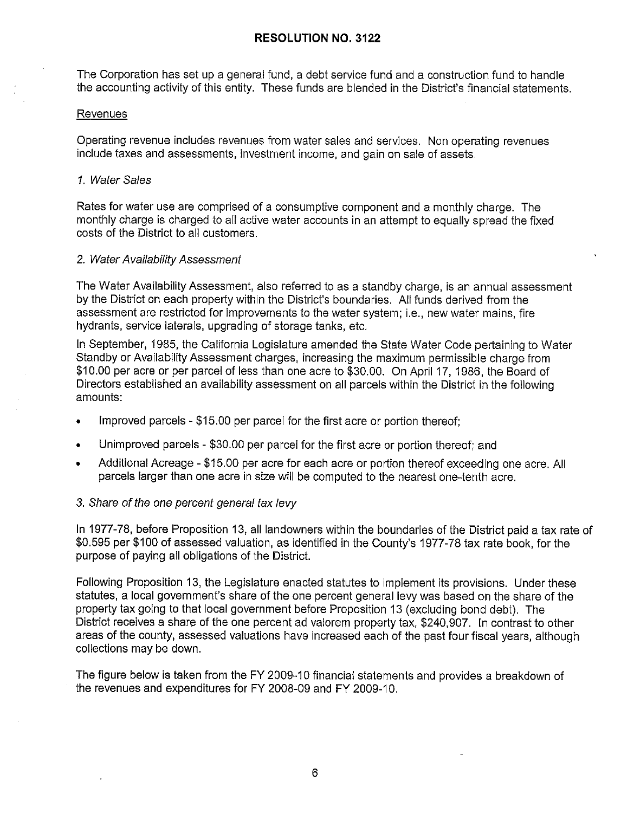The Corporation has set up a general fund, a debt service fund and a construction fund to handle the accounting activity of this entity. These funds are blended in the District's financial statements.

#### **Revenues**

Operating revenue includes revenues from water sales and services. Non operating revenues include taxes and assessments, investment income, and gain on sale of assets.

### 1. Water Sales

Rates for water use are comprised of a consumptive component and a monthly charge. The monthly charge is charged to all active water accounts in an attempt to equally spread the fixed costs of the District to all customers.

#### 2. Water Availability Assessment

The Water Availability Assessment, also referred to as a standby charge, is an annual assessment by the District on each property within the District's boundaries. All funds derived from the assessment are restricted for improvements to the water system; i.e., new water mains, fire hydrants, service laterals, upgrading of storage tanks, etc.

In September, 1985, the California Legislature amended the State Water Code pertaining to Water Standby or Availability Assessment charges, increasing the maximum permissible charge from \$10.00 per acre or per parcel of less than one acre to \$30.00. On April 17, 1986, the Board of Directors established an availability assessment on all parcels within the District in the following amounts:

- Improved parcels \$15.00 per parcel for the first acre or portion thereof;
- Unimproved parcels \$30.00 per parcel for the first acre or portion thereof; and
- Additional Acreage \$15.00 per acre for each acre or portion thereof exceeding one acre. All parcels larger than one acre in size will be computed to the nearest one-tenth acre.

## 3. Share of the one percent general tax levy

In 1977-78, before Proposition 13, all landowners within the boundaries of the District paid a tax rate of \$0.595 per \$100 of assessed valuation, as identified in the County's 1977-78 tax rate book, for the purpose of paying all obligations of the District.

Following Proposition 13, the Legislature enacted statutes to implement its provisions. Under these statutes, a local government's share of the one percent general levy was based on the share of the property tax going to that local government before Proposition 13 ( excluding bond debt). The District receives a share of the one percent ad valorem property tax, \$240,907. In contrast to other areas of the county, assessed valuations have increased each of the past four fiscal years, although collections may be down.

The figure below is taken from the FY 2009-10 financial statements and provides a breakdown of the revenues and expenditures for FY 2008-09 and FY 2009-10.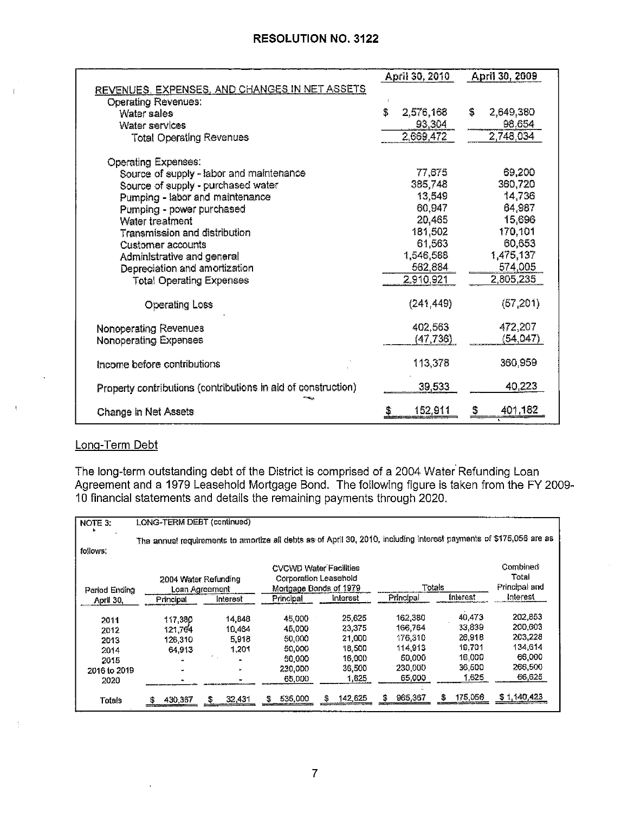|                                                               | April 30, 2010  | April 30, 2009  |
|---------------------------------------------------------------|-----------------|-----------------|
| REVENUES, EXPENSES, AND CHANGES IN NET ASSETS                 |                 |                 |
| <b>Operating Revenues:</b>                                    |                 |                 |
| Water sales                                                   | \$<br>2,576,168 | S.<br>2,649,380 |
| Water services                                                | 93,304          | 98.654          |
| <b>Total Operating Revenues</b>                               | 2,669,472       | 2,748,034       |
|                                                               |                 |                 |
| Operating Expenses.                                           |                 |                 |
| Source of supply - labor and maintenance                      | 77,675          | 69.200          |
| Source of supply - purchased water                            | 385,748         | 360,720         |
| Pumping - labor and maintenance                               | 13,549          | 14,736          |
| Pumping - power purchased                                     | 60,947          | 64,987          |
| Water treatment                                               | 20,465          | 15,696          |
| Transmission and distribution                                 | 181,502         | 170,101         |
| Customer accounts                                             | 61,563          | 60,653          |
| Administrative and general                                    | 1,546,588       | 1,475,137       |
| Depreciation and amortization                                 | 562,884         | 574,005         |
| <b>Total Operating Expenses</b>                               | 2,910,921       | 2,805,235       |
| <b>Operating Loss</b>                                         | (241, 449)      | (57,201)        |
| Nonoperating Revenues                                         | 402,563         | 472,207         |
| Nonoperating Expenses                                         | (47, 736)       | (54, 047)       |
| Income before contributions                                   | 113,378         | 360,959         |
| Property contributions (contributions in aid of construction) | 39,533          | 40,223          |
| <b>Change in Net Assets</b>                                   | 152,911<br>S    | 401,182<br>S    |

# Long-Term Debt

The long-term outstanding debt of the District is comprised of a 2004 Water· Refunding Loan Agreement and a 1979 Leasehold Mortgage Bond. The following figure is taken from the FY 2009- 10 financial statements and details the remaining payments through 2020.

| NOTE 3:       | LONG-TERM DEBT (continued)                                                                                          |              |              |                               |           |                 |               |
|---------------|---------------------------------------------------------------------------------------------------------------------|--------------|--------------|-------------------------------|-----------|-----------------|---------------|
|               | The annual requirements to amortize all debts as of April 30, 2010, including interest payments of \$175,056 are as |              |              |                               |           |                 |               |
| follows:      |                                                                                                                     |              |              |                               |           |                 |               |
|               |                                                                                                                     |              |              | <b>CVCWD Water Facilities</b> |           |                 | Combined      |
|               | 2004 Water Refunding                                                                                                |              |              | Corporation Leasehold         |           |                 | Total         |
| Period Ending | Loan Agreement                                                                                                      |              |              | Mortgage Bonds of 1979        | Totals    |                 | Principal and |
| April 30.     | Principal                                                                                                           | Interest     | Principal    | interest                      | Principal | <b>Interest</b> | Interest      |
| 2011          | 117.380                                                                                                             | 14,848       | 45.000       | 25,625                        | 162,380   | 40.473          | 202,853       |
| 2012          | 121.764                                                                                                             | 10,464       | 45.000       | 23,375                        | 166,764   | 33,839          | 200,603       |
| 2013          | 126.310                                                                                                             | 5.918        | 50,000       | 21,000                        | 176,310   | 26,918          | 203,228       |
| 2014          | 64.913                                                                                                              | 1.201        | 50.000       | 18,500                        | 114,913   | 19,701          | 134,614       |
| 2015          |                                                                                                                     |              | 50.000       | 16,000                        | 50,000    | 16,000          | 66,000        |
| 2016 to 2019  |                                                                                                                     |              | 230,000      | 36,500                        | 230,000   | 36,500          | 266,500       |
| 2020          |                                                                                                                     |              | 65,000       | 1,625                         | 65,000    | 1,625           | 66,625        |
| Totals        | 430,367<br>5                                                                                                        | 32,431<br>35 | 535,000<br>S | 142,625                       | 965,367   | 175,056<br>s    | \$1140,423    |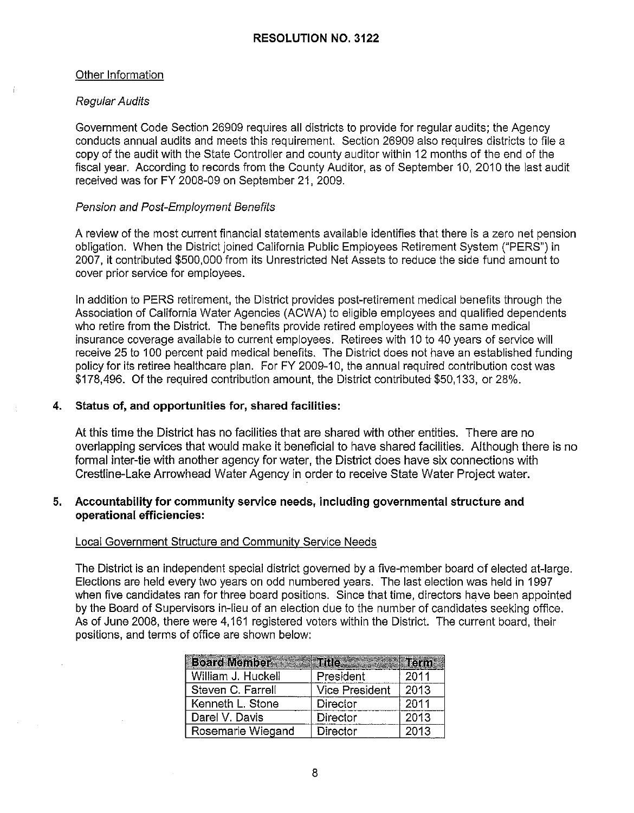### Other Information

#### Regular Audits

Government Code Section 26909 requires all districts to provide for regular audits; the Agency conducts annual audits and meets this requirement. Section 26909 also requires districts to file a copy of the audit with the State Controller and county auditor within 12 months of the end of the fiscal year. According to records from the County Auditor, as of September 10, 2010 the last audit received was for FY 2008-09 on September 21, 2009.

#### Pension and Post-Employment Benefits

A review of the most current financial statements available identifies that there is a zero net pension obligation. When the District joined California Public Employees Retirement System ("PERS") in 2007, it contributed \$500,000 from its Unrestricted Net Assets to reduce the side fund amount to cover prior service for employees.

In addition to PERS retirement, the District provides post-retirement medical benefits through the Association of California Water Agencies (ACWA) to eligible employees and qualified dependents who retire from the District. The benefits provide retired employees with the same medical insurance coverage available to current employees. Retirees with 10 to 40 years of service will receive 25 to 100 percent paid medical benefits. The District does not have an established funding policy for its retiree healthcare plan. For FY 2009-10, the annual required contribution cost was \$178,496. Of the required contribution amount, the District contributed \$50,133, or 28%.

## **4. Status of, and opportunities for, shared facilities:**

At this time the District has no facilities that are shared with other entities. There are no overlapping services that would make it beneficial to have shared facilities. Although there is no formal inter-tie with another agency for water, the District does have six connections with Crestline-Lake Arrowhead Water Agency in order to receive State Water Project water.

## **5. Accountability for community service needs, including governmental structure and operational efficiencies:**

#### Local Government Structure and Community Service Needs

The District is an independent special district governed by a five-member board of elected at-large. Elections are held every two years on odd numbered years. The last election was held in 1997 when five candidates ran for three board positions. Since that time, directors have been appointed by the Board of Supervisors in-lieu of an election due to the number of candidates seeking office. As of June 2008, there were 4,161 registered voters within the District. The current board, their positions, and terms of office are shown below:

| <b>Beard Members</b> | He              |      |
|----------------------|-----------------|------|
| William J. Huckell   | President       | 2011 |
| Steven C. Farrell    | Vice President  | 2013 |
| Kenneth L. Stone     | Director        | 2011 |
| Darel V. Davis       | Director        | 2013 |
| Rosemarie Wiegand    | <b>Director</b> | 2013 |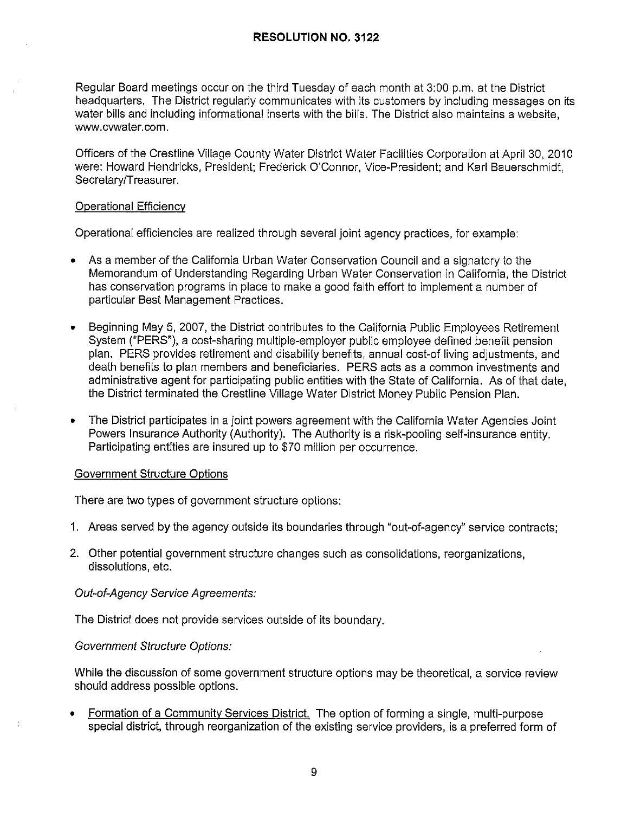Regular Board meetings occur on the third Tuesday of each month at 3:00 p.m. at the District headquarters. The District regularly communicates with its customers by including messages on its water bills and including informational inserts with the bills. The District also maintains a website, www.cvwater.com.

Officers of the Crestline Village County Water District Water Facilities Corporation at April 30, 201 O were: Howard Hendricks, President; Frederick O'Connor, Vice-President; and Karl Bauerschmidt, Secretary/Treasurer.

#### Operational Efficiency

Operational efficiencies are realized through several joint agency practices, for example:

- As a member of the California Urban Water Conservation Council and a signatory to the Memorandum of Understanding Regarding Urban Water Conservation in California, the District has conservation programs in place to make a good faith effort to implement a number of particular Best Management Practices.
- Beginning May 5, 2007, the District contributes to the California Public Employees Retirement System ("PERS"), a cost-sharing multiple-employer public employee defined benefit pension plan. PERS provides retirement and disability benefits, annual cost-of living adjustments, and death benefits to plan members and beneficiaries. PERS acts as a common investments and administrative agent for participating public entities with the State of California. As of that date, the District terminated the Crestline Village Water District Money Public Pension Plan.
- The District participates in a joint powers agreement with the California Water Agencies Joint Powers Insurance Authority (Authority). The Authority is a risk-pooling self-insurance entity. Participating entities are insured up to \$70 million per occurrence.

#### Government Structure Options

There are two types of government structure options:

- 1. Areas served by the agency outside its boundaries through "out-of-agency" service contracts;
- 2. Other potential government structure changes such as consolidations, reorganizations, dissolutions, etc.

#### Out-of-Agency Service Agreements:

The District does not provide services outside of its boundary.

#### Government Structure Options:

While the discussion of some government structure options may be theoretical, a service review should address possible options.

• Formation of a Community Services District. The option of forming a single, multi-purpose special district, through reorganization of the existing service providers, is a preferred form of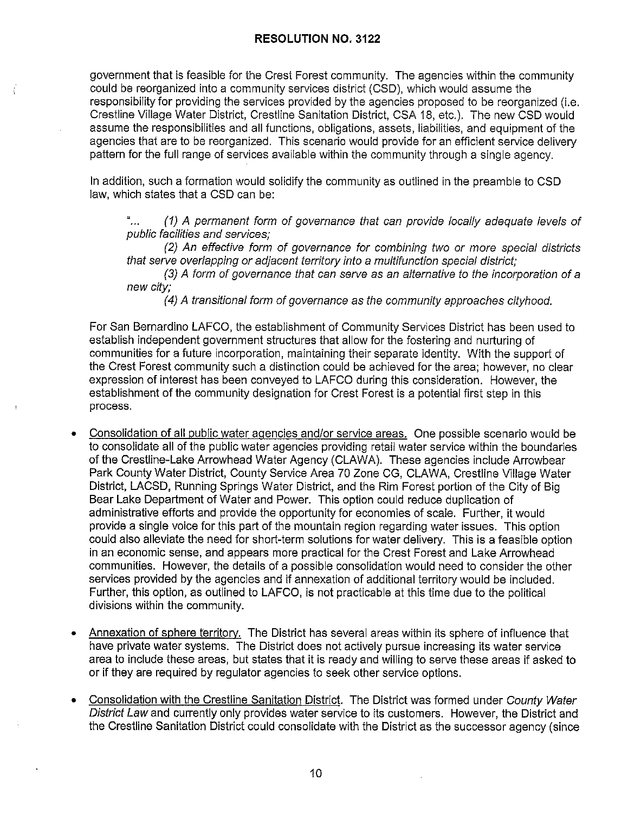ŧ

government that is feasible for the Crest Forest community. The agencies within the community could be reorganized into a community services district (CSD), which would assume the responsibility for providing the services provided by the agencies proposed to be reorganized (i.e. Crestline Village Water District, Crestline Sanitation District, CSA 18, etc.). The new CSD would assume the responsibilities and all functions, obligations, assets, liabilities, and equipment of the agencies that are to be reorganized. This scenario would provide for an efficient service delivery pattern for the full range of services available within the community through a single agency.

In addition, such a formation would solidify the community as outlined in the preamble to CSD law, which states that a CSD can be:

"… (1) A permanent form of governance that can provide locally adequate levels of public facilities and services;

(2) An effective form of governance for combining two or more special districts that serve overlapping or adjacent territory into a multifunction special district;

(3) A form of governance that can serve as an alternative to the incorporation of a new city;

(4) A transitional form of governance as the community approaches cityhood.

For San Bernardino LAFCO, the establishment of Community Services District has been used to establish independent government structures that allow for the fostering and nurturing of communities for a future incorporation, maintaining their separate identity. With the support of the Crest Forest community such a distinction could be achieved for the area; however, no clear expression of interest has been conveyed to LAFCO during this consideration. However, the establishment of the community designation for Crest Forest is a potential first step in this process.

- Consolidation of all public water agencies and/or service areas. One possible scenario would be to consolidate all of the public water agencies providing retail water service within the boundaries of the Crestline-Lake Arrowhead Water Agency (CLAW A). These agencies include Arrowbear Park County Water District, County Service Area 70 Zone CG, CLAWA, Crestline Village Water District, LACSD, Running Springs Water District, and the Rim Forest portion of the City of Big Bear Lake Department of Water and Power. This option could reduce duplication of administrative efforts and provide the opportunity for economies of scale. Further, it would provide a single voice for this part of the mountain region regarding water issues. This option could also alleviate the need for short-term solutions for water delivery. This is a feasible option in an economic sense, and appears more practical for the Crest Forest and Lake Arrowhead communities. However, the details of a possible consolidation would need to consider the other services provided by the agencies and if annexation of additional territory would be included. Further, this option, as outlined to LAFCO, is not practicable at this time due to the political divisions within the community.
- Annexation of sphere territory. The District has several areas within its sphere of influence that have private water systems. The District does not actively pursue increasing its water service area to include these areas, but states that it is ready and willing to serve these areas if asked to or if they are required by regulator agencies to seek other service options.
- Consolidation with the Crestline Sanitation District. The District was formed under County Water District Law and currently only provides water service to its customers. However, the District and the Crestline Sanitation District could consolidate with the District as the successor agency (since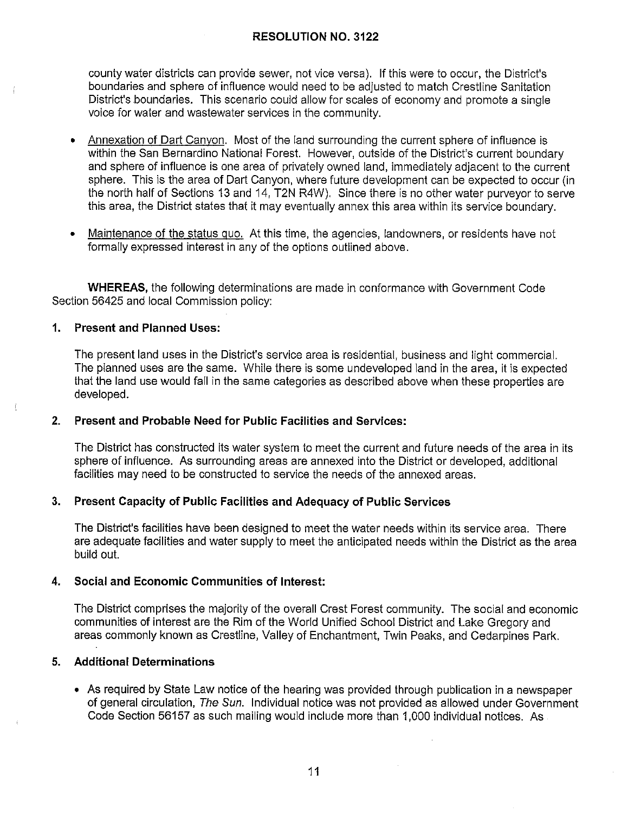county water districts can provide sewer, not vice versa). If this were to occur, the District's boundaries and sphere of influence would need to be adjusted to match Crestline Sanitation District's boundaries. This scenario could allow for scales of economy and promote a single voice for water and wastewater services in the community.

- Annexation of Dart Canyon. Most of the land surrounding the current sphere of influence is within the San Bernardino National Forest. However, outside of the District's current boundary and sphere of influence is one area of privately owned land, immediately adjacent to the current sphere. This is the area of Dart Canyon, where future development can be expected to occur (in the north half of Sections 13 and 14, T2N R4W). Since there is no other water purveyor to serve this area, the District states that it may eventually annex this area within its service boundary.
- Maintenance of the status quo. At this time, the agencies, landowners, or residents have not formally expressed interest in any of the options outlined above.

**WHEREAS,** the following determinations are made in conformance with Government Code Section 56425 and local Commission policy:

## **1. Present and Planned Uses:**

The present land uses in the District's service area is residential, business and light commercial. The planned uses are the same. While there is some undeveloped land in the area, it is expected that the land use would fall in the same categories as described above when these properties are developed.

## **2. Present and Probable Need for Public Facilities and Services:**

The District has constructed its water system to meet the current and future needs of the area in its sphere of influence. As surrounding areas are annexed into the District or developed, additional facilities may need to be constructed to service the needs of the annexed areas.

## **3. Present Capacity of Public Facilities and Adequacy of Public Services**

The District's facilities have been designed to meet the water needs within its service area. There are adequate facilities and water supply to meet the anticipated needs within the District as the area build out.

## **4. Social and Economic Communities of Interest:**

The District comprises the majority of the overall Crest Forest community. The social and economic communities of interest are the Rim of the World Unified School District and Lake Gregory and areas commonly known as Crestline, Valley of Enchantment, Twin Peaks, and Cedarpines Park.

## **5. Additional Determinations**

• As required by State Law notice of the hearing was provided through publication in a newspaper of general circulation, The Sun. Individual notice was not provided as allowed under Government Code Section 56157 as such mailing would include more than 1,000 individual notices. As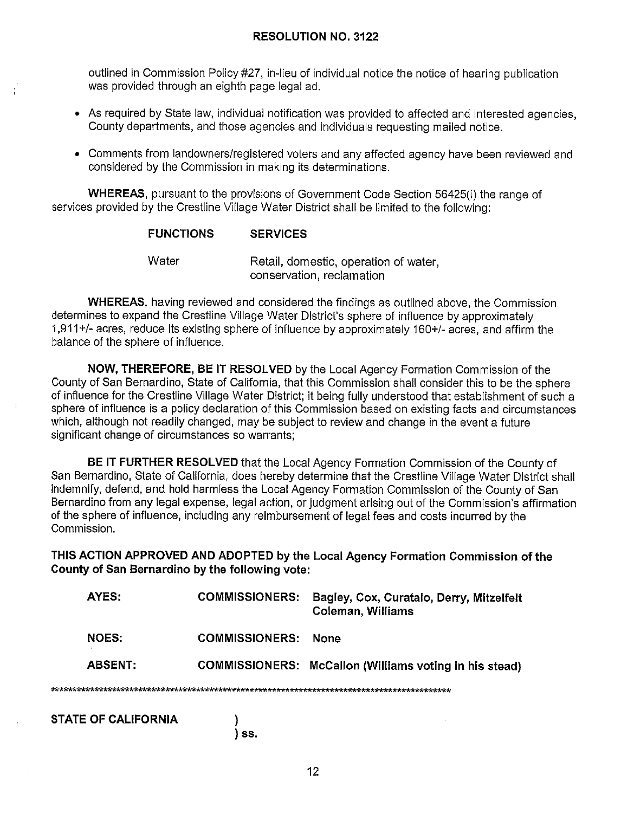outlined in Commission Policy #27, in-lieu of individual notice the notice of hearing publication was provided through an eighth page legal ad.

- As required by State law, individual notification was provided to affected and interested agencies, County departments, and those agencies and individuals requesting mailed notice.
- Comments from landowners/registered voters and any affected agency have been reviewed and considered by the Commission in making its determinations.

**WHEREAS,** pursuant to the provisions of Government Code Section 56425(i) the range of services provided by the Crestline Village Water District shall be limited to the following:

## **FUNCTIONS SERVICES**

Water Retail, domestic, operation of water, conservation, reclamation

**WHEREAS,** having reviewed and considered the findings as outlined above, the Commission determines to expand the Crestline Village Water District's sphere of influence by approximately 1,911 +/- acres, reduce its existing sphere of influence by approximately 160+/- acres, and affirm the balance of the sphere of influence.

**NOW, THEREFORE, BE IT RESOLVED** by the Local Agency Formation Commission of the County of San Bernardino, State of California, that this Commission shall consider this to be the sphere of influence for the Crestline Village Water District; it being fully understood that establishment of such a sphere of influence is a policy declaration of this Commission based on existing facts and circumstances which, although not readily changed, may be subject to review and change in the event a future significant change of circumstances so warrants;

**BE IT FURTHER RESOLVED** that the Local Agency Formation Commission of the County of San Bernardino, State of California, does hereby determine that the Crestline Village Water District shall indemnify, defend, and hold harmless the Local Agency Formation Commission of the County of San Bernardino from any legal expense, legal action, or judgment arising out of the Commission's affirmation of the sphere of influence, including any reimbursement of legal fees and costs incurred by the Commission.

**THIS ACTION APPROVED AND ADOPTED by the Local Agency Formation Commission of the County of San Bernardino by the following vote:** 

| AYES:                      | <b>COMMISSIONERS:</b> | Bagley, Cox, Curatalo, Derry, Mitzelfelt<br>Coleman, Williams |
|----------------------------|-----------------------|---------------------------------------------------------------|
| <b>NOES:</b>               | <b>COMMISSIONERS:</b> | None                                                          |
| <b>ABSENT:</b>             |                       | COMMISSIONERS: McCallon (Williams voting in his stead)        |
|                            |                       |                                                               |
| <b>STATE OF CALIFORNIA</b> |                       |                                                               |
|                            | SS                    |                                                               |

12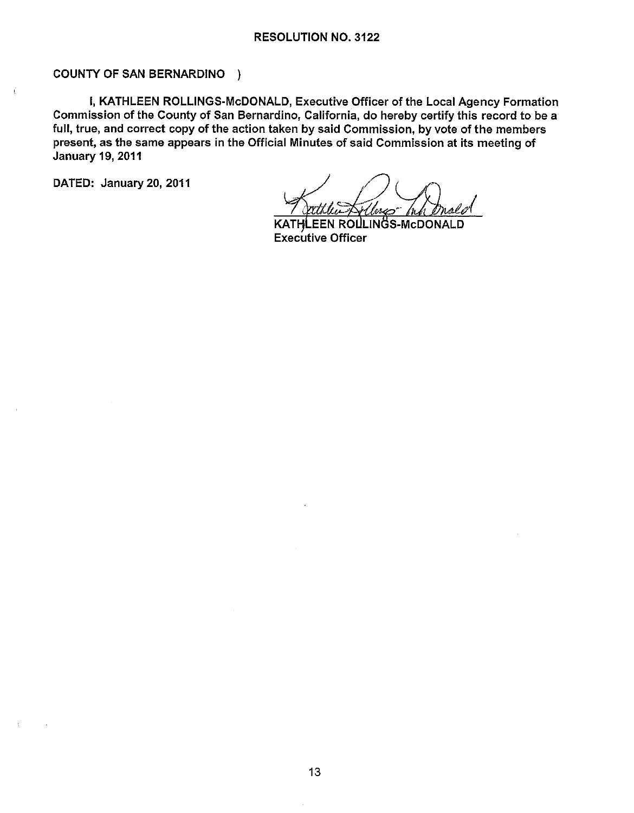## COUNTY OF SAN BERNARDINO )

I, KATHLEEN ROLLINGS-McDONALD, Executive Officer of the Local Agency Formation Commission of the County of San Bernardino, California, do hereby certify this record to be a full, true, and correct copy of the action taken by said Commission, by vote of the members present, as the same appears in the Official Minutes of said Commission at its meeting of January 19, 2011

DATED: January 20, 2011

EEN ROLLINGS-MCDONALD KAT Executive Officer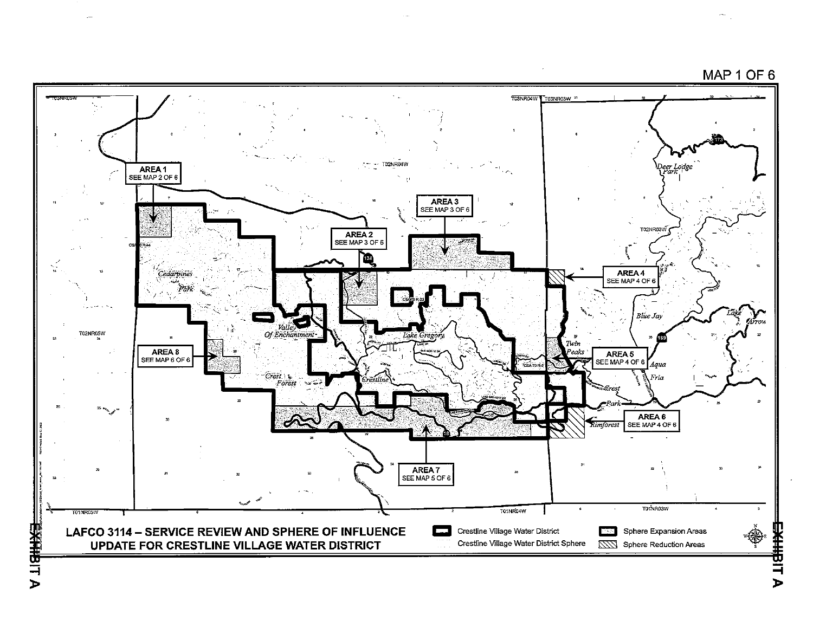

Ŧ 극 )>

)>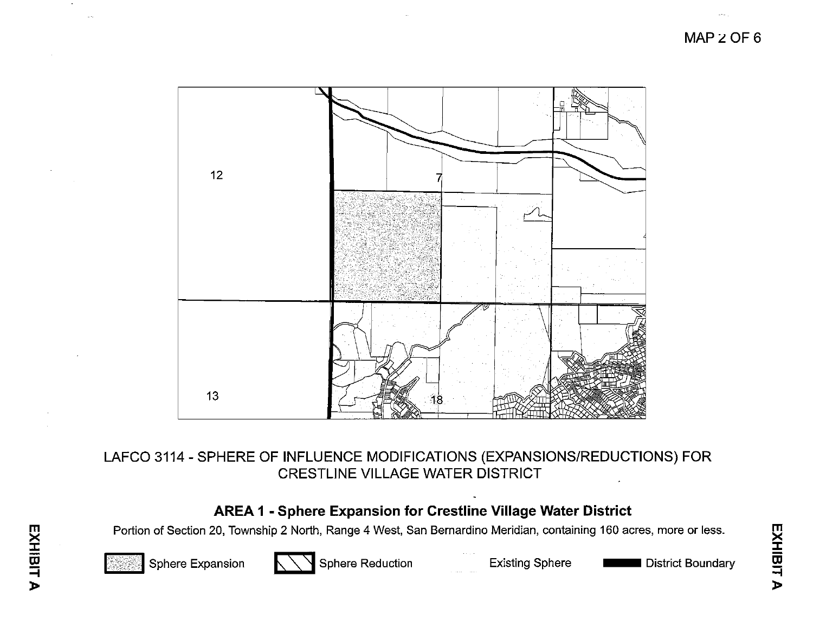

# LAFCO 3114 - SPHERE OF INFLUENCE MODIFICATIONS (EXPANSIONS/REDUCTIONS) FOR CRESTLINE VILLAGE WATER DISTRICT

# **AREA 1 - Sphere Expansion for Crestline Village Water District**

Portion of Section 20, Township 2 North, Range 4 West, San Bernardino Meridian, containing 160 acres, more or less.



Sphere Expansion **Expansion** Sphere Reduction Existing Sphere **Existing Sphere** District Boundary

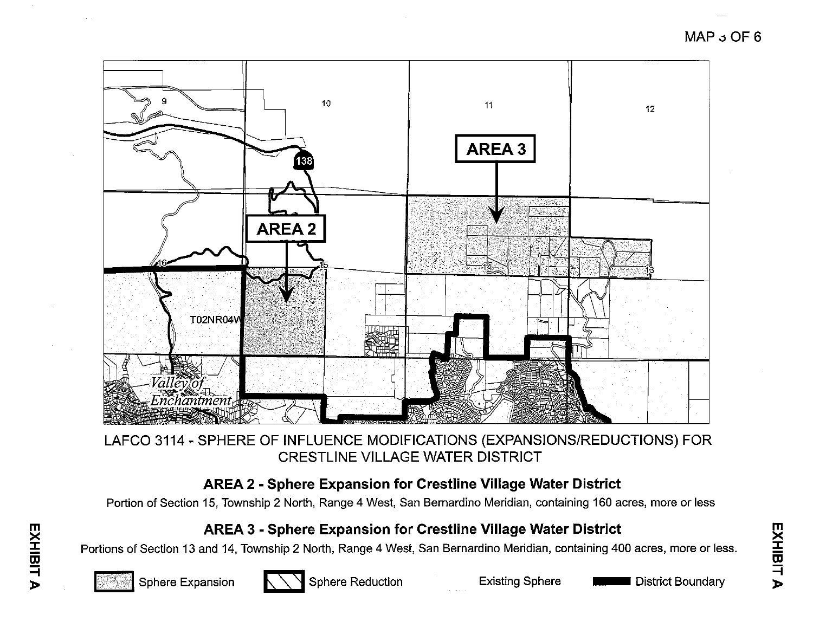

# LAFCO 3114 - SPHERE OF INFLUENCE MODIFICATIONS (EXPANSIONS/REDUCTIONS) FOR CRESTLINE VILLAGE WATER DISTRICT

# **AREA 2 - Sphere Expansion for Crestline Village Water District**

Portion of Section 15, Township 2 North, Range 4 West, San Bernardino Meridian, containing 160 acres, more or less

# **AREA 3** - **Sphere Expansion for Crestline Village Water District**

Portions of Section 13 and 14, Township 2 North, Range 4 West, San Bernardino Meridian, containing 400 acres, more or less.



**m** 

소<br>프<br>프

**=i**  )> **1999 - Present Production**<br>Sphere Expansion **6 Sphere Reduction** Existing Sphere **District Boundary** 

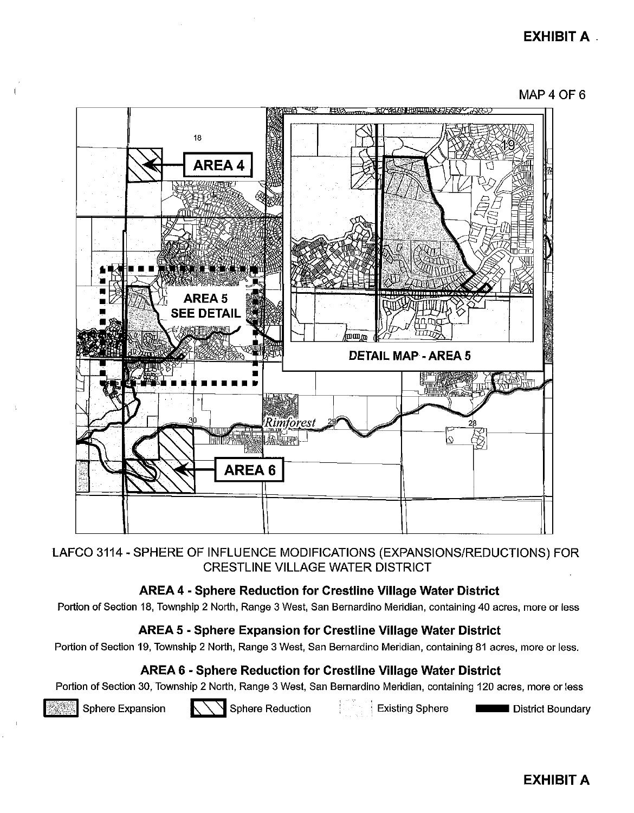# **EXHIBIT A.**





# LAFCO 3114 - SPHERE OF INFLUENCE MODIFICATIONS (EXPANSIONS/REDUCTIONS) FOR CRESTLINE VILLAGE WATER DISTRICT

# **AREA 4 - Sphere Reduction for Crestline Village Water District**

Portion of Section 18, Township 2 North, Range 3 West, San Bernardino Meridian, containing 40 acres, more or less

# **AREA 5 - Sphere Expansion for Crestline Village Water District**

Portion of Section 19, Township 2 North, Range 3 West, San Bernardino Meridian, containing 81 acres, more or less.

# **AREA 6 - Sphere Reduction for Crestline Village Water District**

Portion of Section 30, Township 2 North, Range 3 West, San Bernardino Meridian, containing 120 acres, more or less<br>Sphere Expansion **E: Sphere Reduction** : Existing Sphere -- District Boundary



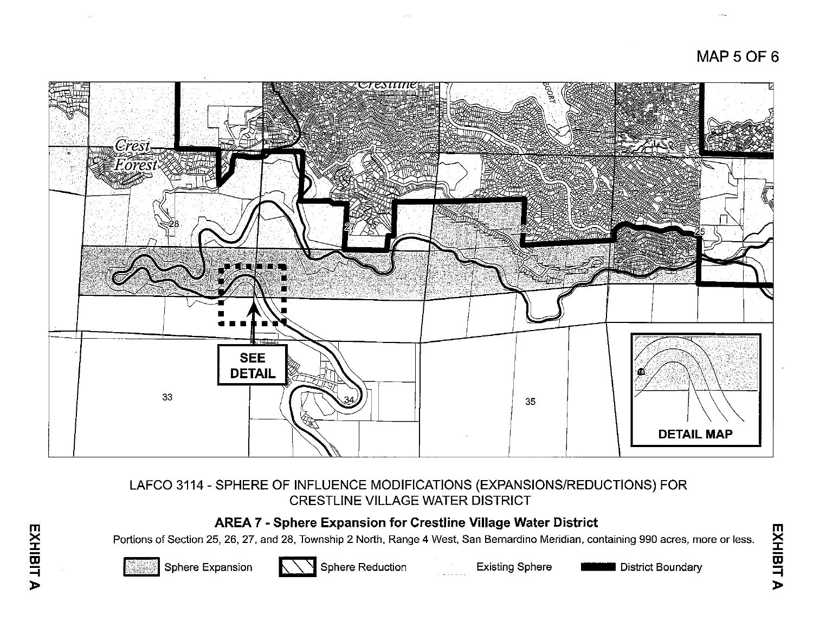# **MAP 5 OF** 6



# LAFCO 3114 - SPHERE OF INFLUENCE MODIFICATIONS (EXPANSIONS/REDUCTIONS) FOR CRESTLINE VILLAGE WATER DISTRICT

# **AREA 7 - Sphere Expansion for Crestline Village Water District**

Portions of Section 25, 26, 27, and 28, Township 2 North, Range 4 West, San Bernardino Meridian, containing 990 acres, more or less. which of Society Lot, Little Lot, Tomorrie Prioriti, Funger Frock, Suit Bomarano Monatal, Sontaining occidence, Inc.<br>Sphere Expansion Existing Sphere Next District Boundary



**m** 

**XHIBI** 

**=i**  )>